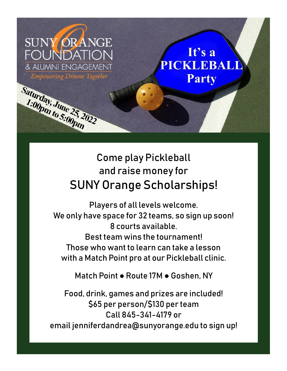

# Come play Pickleball and raise money for SUNY Orange Scholarships!

Players of all levels welcome. We only have space for 32 teams, so sign up soon! 8 courts available. Best team wins the tournament! Those who want to learn can take a lesson with a Match Point pro at our Pickleball clinic.

Match Point **●** Route 17M **●** Goshen, NY

Food, drink, games and prizes are included! \$65 per person/\$130 per team Call 845-341-4179 or email jenniferdandrea@sunyorange.edu to sign up!